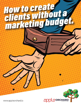# How to create<br>clients without a



www.appleorchard.io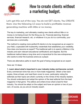

**Let's get this out of the way. You do not GET clients. You CREATE them. Use the following 12 ways to build a profitable revenue generating machine with little or no money.** 

The key to marketing, and ultimately creating new clients without little or no money is not being known for the thing you do. Financial planning, financial services, financial research, etc. or whatever it is you do is a commodity, your services are a commodity.

The method to creating more perfect-fit clients is to be recognized as an expert in your field, a specialist with trustworthy credentials that establishes your credibility. How does one become an expert? The traditional path is to spend a lifetime in the industry and earn relevant educational certifications and degrees. But the traditional method takes a long time and is impractical for the new entrepreneur who wants to enter the business arena as a player.

There are alternative paths to reach the goal of being recognized as an expert.

Here are 12 ideas:

## **1. Learn about what's important in your industry today and become current.**

Every commercial niche has one or more trade magazines. Obtain a few back copies, three at least, and read them cover to cover, particularly noting the editorials as their topics are what's currently on the minds of the industry leaders. You should understand and adopt the opinion of the lead editorial from the lead magazine in that genre. The editors and writers know what is best for their industry. You should be adept on the subject and have an opinion or two of your own, of course, as you are an industry expert.

## **#APPLEORCHARD** www.AppleOrchard.io/tools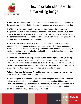

**2. Note the advertisements.** These will also tell you what's new and important to the industry, as well as what the leading businesses are talking about and selling.

**3. Write an article and submit it for publication in one of the industry magazines.** This often isn't as hard as it seems. Once done, you are a published writer in the industry. If you have trouble getting an article published, write a letter to the editor or respond to one; that's easier, and it will start the process going. People will see your name and read your material.

**4. Create a blog on your website.** Begin to communicate with your market, discussing industry issues and creating an open forum with you as an expert. Highlight your involvement, as well as your diverse commitment to the industry. You can further establish your credentials and publish your materials, including press releases, articles, and so forth.

**5. Create interviews through podcasts (video or audio) based on your blog entries.** Post the video on YouTube. You can separate and post your audio to iTunes. Some people find it easiest to start with a simple Zoom interview and then can repurpose the video, audio portions which can be published to iTunes, Spotify etc. as a podcast and even transcribed as a text-based newsletter.

#### **Related: Join our Refluencer Project to learn how to Interview your way to more leads. www.Refuencer.co/interview**

**6. Offer to speak at a local college.** Just about everyone lives near a university, college, state school, technical school, or some other bastion of higher learning. Offer a professor or department head the opportunity to have you speak at a forum run by the professor or department head on a subject relevant to you and the educator's interest group—at no charge, of course.

www.AppleOrchard.io/tools

**#APPLEORCHARD**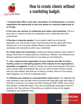

**7. Programming. Offer a local club, association, Co-working space, or service organization the opportunity to have you speak on a relevant subject both at no charge.**

**8. Run your own seminar or collaborate and create a joint workshop.** This is a smart way to continue to build your credentials, and to collaborate with other professionals.

**9. Become a corporate speaker.** If your subject matter has commercial application, you may be able to get a local business to let you speak after hours, during lunch, or at a business meeting. Being a public speaker at leading businesses and corporations adds to your credentials.

**10. Create video and Livestreams.** Creating and sharing relevant video content is always a fast track to creating authority. Livestreams, webinars, and Questions and Answers segments are the shortcut to new leads you are looking for. .

**11. Join a national trade organization for your industry and offer to write a monthly column on interesting aspects of the industry for the organization's newsletter or magazine.** Of course, mention your name and business at the end to insert yourself subtly and tastefully. Be sure your article at least includes a byline with your web address. Now that you're writing a monthly column for the industry trade magazine, you must be a respected expert.

**12. Optimize your website as a lead generation sales funnel.** The challenge with most websites is they are giant online brochures with page after page after page of stuff that is irrelevant. Your visitors are ONLY looking for ONE THING; how to solve their problem, or fulfill their desire. If you are not specifically doing that in the frst 5 seconds, then they will leave. Streamline your website to focus on the biggest challenge of your perfect-fit client.

### **#APPLEORCHARD** www.AppleOrchard.io/tools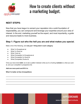

#### **NEXT STEPS:**

Now that you have begun to cement your reputation into a solid foundation of respectability, you can compound and leverage your expertise around your area of interest. In the end, marketing yourself as the expert, and most importantly, a guide and resource leads to more business.

#### **Step 1: Figure out who the hell you are and what makes you special.**

Make a list of the following, and **only put 1 thing total in each category**:

- What I'm Exceptional at:
- What I'm Good at:
- What I Suck at:
- What (Competitor) Is Exceptional at:
- What (Competitor) Is Good At:
- What (Competitor) Sucks At:

Once you have done **both**, try to see a pattern between what you're a fucking *rockstar* at, what you suck at, and your competitor's prospective list.

 $\overline{\phantom{a}}$  , and the contribution of the contribution of the contribution of the contribution of the contribution of the contribution of the contribution of the contribution of the contribution of the contribution of the  $\overline{\phantom{a}}$  , and the contribution of the contribution of the contribution of the contribution of the contribution of the contribution of the contribution of the contribution of the contribution of the contribution of the  $\overline{\phantom{a}}$  , and the contribution of the contribution of the contribution of the contribution of the contribution of the contribution of the contribution of the contribution of the contribution of the contribution of the  $\overline{\phantom{a}}$  , and the contribution of the contribution of the contribution of the contribution of the contribution of the contribution of the contribution of the contribution of the contribution of the contribution of the

*Add one more point and fill it in:*

**What I'm better at than (Competition):**

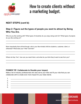

#### **NEXT STEPS (cont'd):**

#### **Step 2: Figure out the types of people you want to attract by Being Who You Are.**

Who do you like working with? What types of industries do you enjoy doing work for? What types of projects do you like working on?

 $\overline{\phantom{a}}$  , and the contribution of the contribution of the contribution of the contribution of the contribution of the contribution of the contribution of the contribution of the contribution of the contribution of the  $\overline{\phantom{a}}$  , and the contribution of the contribution of the contribution of the contribution of the contribution of the contribution of the contribution of the contribution of the contribution of the contribution of the

 $\overline{\phantom{a}}$  , and the contribution of the contribution of the contribution of the contribution of the contribution of the contribution of the contribution of the contribution of the contribution of the contribution of the  $\overline{\phantom{a}}$  , and the contribution of the contribution of the contribution of the contribution of the contribution of the contribution of the contribution of the contribution of the contribution of the contribution of the

 $\overline{\phantom{a}}$  , and the contribution of the contribution of the contribution of the contribution of the contribution of the contribution of the contribution of the contribution of the contribution of the contribution of the  $\overline{\phantom{a}}$  , and the contribution of the contribution of the contribution of the contribution of the contribution of the contribution of the contribution of the contribution of the contribution of the contribution of the

More importantly than all that though, who's your like-minded chill-bro duderino, customer, client, or otherwise? What does your "tribe" look like?

Where do they "live", how can you reach them, and what do you think they'd want to see from you?

#### **POWER TIP: Collaborate to Double your impact.**

Make a list of industry professionals who also serve your tribe and fit your vibe that you can collaborate with to create even more impact for your ideal clients.

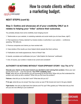

#### **NEXT STEPS (cont'd):**

#### **Step 3: Outline and showcase all of your credibility ONLY as it relates to helping your "tribe" achieve their outcomes.**

You probably already have some credibility clues hanging around:

1. Testimonials on your website, in marketing materials and social media (you do have these, right?)

2. Past experience of being 'selected' by industry bodies or authorities in your sphere — conference speaking, TED talks etc.

- 3. Previous companies and clients you have worked with.
- 4. Case studies of the results you have helped clients (people like them) achieve.
- 5. Publications and media appearances. None of these? See
- 6. Awards, accolades and certificates (not your "Little Dolphin 5m Swimmer" certificate!)
- 7. And, of course, your content, it needs to be current and consistent!

#### **AUTHORITY IS NOTHING WITHOUT YOUR EPIPHANY STORY- 'Use The 4 F's'**

**Educate your clients on the exact moment you decided to start solving their problem.** Show your *own* journey from A to B — even the bad bits. **Your FFFF credibility clues**: **Firsts:** when did you do the solution you are promising for the first time? When did you first understand the problem and come up with a solution? When did you first have the problem?

**Failures:** what did you try that didn't work? What else did you try?

**F\*ck ups:** what did you do wrong? How big a screw up was it? Be honest and revel in the gory details!

**Fight backs:** how did you fight back from failures and f\*ck ups? Who guided you? What elixir did you find and you are now offering to your audience?

## **#APPLEORCHARD** www.AppleOrchard.io/tools